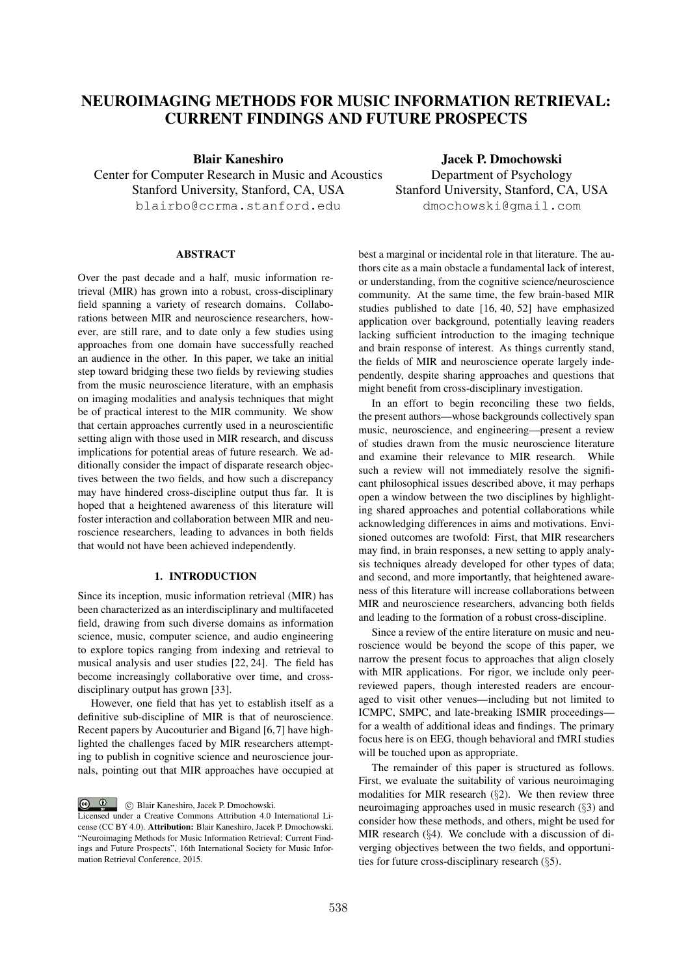# NEUROIMAGING METHODS FOR MUSIC INFORMATION RETRIEVAL: CURRENT FINDINGS AND FUTURE PROSPECTS

Blair Kaneshiro

Center for Computer Research in Music and Acoustics Stanford University, Stanford, CA, USA blairbo@ccrma.stanford.edu

ABSTRACT

Over the past decade and a half, music information retrieval (MIR) has grown into a robust, cross-disciplinary field spanning a variety of research domains. Collaborations between MIR and neuroscience researchers, however, are still rare, and to date only a few studies using approaches from one domain have successfully reached an audience in the other. In this paper, we take an initial step toward bridging these two fields by reviewing studies from the music neuroscience literature, with an emphasis on imaging modalities and analysis techniques that might be of practical interest to the MIR community. We show that certain approaches currently used in a neuroscientific setting align with those used in MIR research, and discuss implications for potential areas of future research. We additionally consider the impact of disparate research objectives between the two fields, and how such a discrepancy may have hindered cross-discipline output thus far. It is hoped that a heightened awareness of this literature will foster interaction and collaboration between MIR and neuroscience researchers, leading to advances in both fields that would not have been achieved independently.

## 1. INTRODUCTION

Since its inception, music information retrieval (MIR) has been characterized as an interdisciplinary and multifaceted field, drawing from such diverse domains as information science, music, computer science, and audio engineering to explore topics ranging from indexing and retrieval to musical analysis and user studies [22, 24]. The field has become increasingly collaborative over time, and crossdisciplinary output has grown [33].

However, one field that has yet to establish itself as a definitive sub-discipline of MIR is that of neuroscience. Recent papers by Aucouturier and Bigand [6,7] have highlighted the challenges faced by MIR researchers attempting to publish in cognitive science and neuroscience journals, pointing out that MIR approaches have occupied at

 $\circ$   $\circ$ c Blair Kaneshiro, Jacek P. Dmochowski.

Jacek P. Dmochowski Department of Psychology Stanford University, Stanford, CA, USA dmochowski@gmail.com

best a marginal or incidental role in that literature. The authors cite as a main obstacle a fundamental lack of interest, or understanding, from the cognitive science/neuroscience community. At the same time, the few brain-based MIR studies published to date [16, 40, 52] have emphasized application over background, potentially leaving readers lacking sufficient introduction to the imaging technique and brain response of interest. As things currently stand, the fields of MIR and neuroscience operate largely independently, despite sharing approaches and questions that might benefit from cross-disciplinary investigation.

In an effort to begin reconciling these two fields, the present authors—whose backgrounds collectively span music, neuroscience, and engineering—present a review of studies drawn from the music neuroscience literature and examine their relevance to MIR research. While such a review will not immediately resolve the significant philosophical issues described above, it may perhaps open a window between the two disciplines by highlighting shared approaches and potential collaborations while acknowledging differences in aims and motivations. Envisioned outcomes are twofold: First, that MIR researchers may find, in brain responses, a new setting to apply analysis techniques already developed for other types of data; and second, and more importantly, that heightened awareness of this literature will increase collaborations between MIR and neuroscience researchers, advancing both fields and leading to the formation of a robust cross-discipline.

Since a review of the entire literature on music and neuroscience would be beyond the scope of this paper, we narrow the present focus to approaches that align closely with MIR applications. For rigor, we include only peerreviewed papers, though interested readers are encouraged to visit other venues—including but not limited to ICMPC, SMPC, and late-breaking ISMIR proceedings for a wealth of additional ideas and findings. The primary focus here is on EEG, though behavioral and fMRI studies will be touched upon as appropriate.

The remainder of this paper is structured as follows. First, we evaluate the suitability of various neuroimaging modalities for MIR research (*§*2). We then review three neuroimaging approaches used in music research (*§*3) and consider how these methods, and others, might be used for MIR research (*§*4). We conclude with a discussion of diverging objectives between the two fields, and opportunities for future cross-disciplinary research (*§*5).

Licensed under a Creative Commons Attribution 4.0 International License (CC BY 4.0). Attribution: Blair Kaneshiro, Jacek P. Dmochowski. "Neuroimaging Methods for Music Information Retrieval: Current Findings and Future Prospects", 16th International Society for Music Information Retrieval Conference, 2015.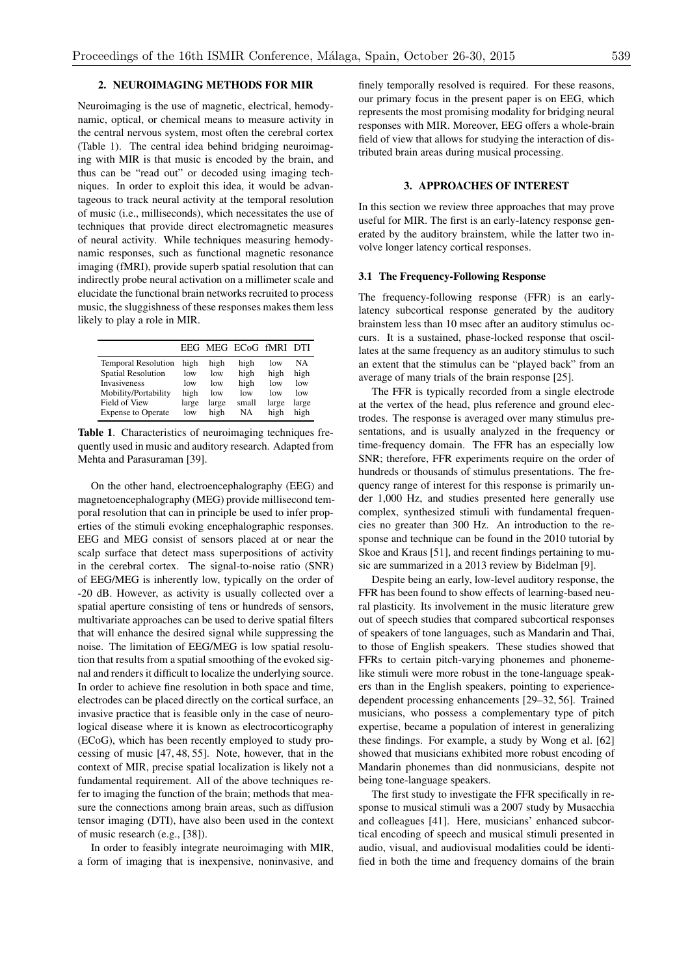# 2. NEUROIMAGING METHODS FOR MIR

Neuroimaging is the use of magnetic, electrical, hemodynamic, optical, or chemical means to measure activity in the central nervous system, most often the cerebral cortex (Table 1). The central idea behind bridging neuroimaging with MIR is that music is encoded by the brain, and thus can be "read out" or decoded using imaging techniques. In order to exploit this idea, it would be advantageous to track neural activity at the temporal resolution of music (i.e., milliseconds), which necessitates the use of techniques that provide direct electromagnetic measures of neural activity. While techniques measuring hemodynamic responses, such as functional magnetic resonance imaging (fMRI), provide superb spatial resolution that can indirectly probe neural activation on a millimeter scale and elucidate the functional brain networks recruited to process music, the sluggishness of these responses makes them less likely to play a role in MIR.

|                                                                                                                                               |                                                        |                                            | EEG MEG ECoG fMRI DTI                             |                                            |                                                  |
|-----------------------------------------------------------------------------------------------------------------------------------------------|--------------------------------------------------------|--------------------------------------------|---------------------------------------------------|--------------------------------------------|--------------------------------------------------|
| <b>Temporal Resolution</b><br><b>Spatial Resolution</b><br>Invasiveness<br>Mobility/Portability<br>Field of View<br><b>Expense to Operate</b> | high<br>low<br>low<br>high<br>large<br>1 <sub>ow</sub> | high<br>low<br>low<br>low<br>large<br>high | high<br>high<br>high<br>low<br>small<br><b>NA</b> | low<br>high<br>low<br>low<br>large<br>high | <b>NA</b><br>high<br>low<br>low<br>large<br>high |
|                                                                                                                                               |                                                        |                                            |                                                   |                                            |                                                  |

Table 1. Characteristics of neuroimaging techniques frequently used in music and auditory research. Adapted from Mehta and Parasuraman [39].

On the other hand, electroencephalography (EEG) and magnetoencephalography (MEG) provide millisecond temporal resolution that can in principle be used to infer properties of the stimuli evoking encephalographic responses. EEG and MEG consist of sensors placed at or near the scalp surface that detect mass superpositions of activity in the cerebral cortex. The signal-to-noise ratio (SNR) of EEG/MEG is inherently low, typically on the order of -20 dB. However, as activity is usually collected over a spatial aperture consisting of tens or hundreds of sensors, multivariate approaches can be used to derive spatial filters that will enhance the desired signal while suppressing the noise. The limitation of EEG/MEG is low spatial resolution that results from a spatial smoothing of the evoked signal and renders it difficult to localize the underlying source. In order to achieve fine resolution in both space and time, electrodes can be placed directly on the cortical surface, an invasive practice that is feasible only in the case of neurological disease where it is known as electrocorticography (ECoG), which has been recently employed to study processing of music [47, 48, 55]. Note, however, that in the context of MIR, precise spatial localization is likely not a fundamental requirement. All of the above techniques refer to imaging the function of the brain; methods that measure the connections among brain areas, such as diffusion tensor imaging (DTI), have also been used in the context of music research (e.g., [38]).

In order to feasibly integrate neuroimaging with MIR, a form of imaging that is inexpensive, noninvasive, and finely temporally resolved is required. For these reasons, our primary focus in the present paper is on EEG, which represents the most promising modality for bridging neural responses with MIR. Moreover, EEG offers a whole-brain field of view that allows for studying the interaction of distributed brain areas during musical processing.

# 3. APPROACHES OF INTEREST

In this section we review three approaches that may prove useful for MIR. The first is an early-latency response generated by the auditory brainstem, while the latter two involve longer latency cortical responses.

#### 3.1 The Frequency-Following Response

The frequency-following response (FFR) is an earlylatency subcortical response generated by the auditory brainstem less than 10 msec after an auditory stimulus occurs. It is a sustained, phase-locked response that oscillates at the same frequency as an auditory stimulus to such an extent that the stimulus can be "played back" from an average of many trials of the brain response [25].

The FFR is typically recorded from a single electrode at the vertex of the head, plus reference and ground electrodes. The response is averaged over many stimulus presentations, and is usually analyzed in the frequency or time-frequency domain. The FFR has an especially low SNR; therefore, FFR experiments require on the order of hundreds or thousands of stimulus presentations. The frequency range of interest for this response is primarily under 1,000 Hz, and studies presented here generally use complex, synthesized stimuli with fundamental frequencies no greater than 300 Hz. An introduction to the response and technique can be found in the 2010 tutorial by Skoe and Kraus [51], and recent findings pertaining to music are summarized in a 2013 review by Bidelman [9].

Despite being an early, low-level auditory response, the FFR has been found to show effects of learning-based neural plasticity. Its involvement in the music literature grew out of speech studies that compared subcortical responses of speakers of tone languages, such as Mandarin and Thai, to those of English speakers. These studies showed that FFRs to certain pitch-varying phonemes and phonemelike stimuli were more robust in the tone-language speakers than in the English speakers, pointing to experiencedependent processing enhancements [29–32, 56]. Trained musicians, who possess a complementary type of pitch expertise, became a population of interest in generalizing these findings. For example, a study by Wong et al. [62] showed that musicians exhibited more robust encoding of Mandarin phonemes than did nonmusicians, despite not being tone-language speakers.

The first study to investigate the FFR specifically in response to musical stimuli was a 2007 study by Musacchia and colleagues [41]. Here, musicians' enhanced subcortical encoding of speech and musical stimuli presented in audio, visual, and audiovisual modalities could be identified in both the time and frequency domains of the brain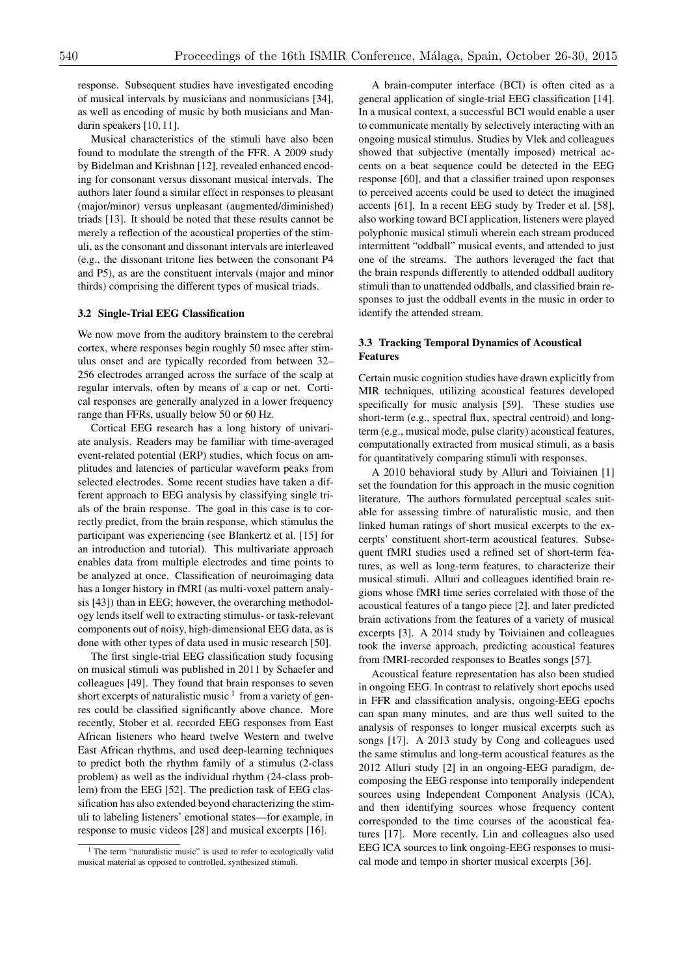response. Subsequent studies have investigated encoding of musical intervals by musicians and nonmusicians [34], as well as encoding of music by both musicians and Mandarin speakers [10, 11].

Musical characteristics of the stimuli have also been found to modulate the strength of the FFR. A 2009 study by Bidelman and Krishnan [12], revealed enhanced encoding for consonant versus dissonant musical intervals. The authors later found a similar effect in responses to pleasant (major/minor) versus unpleasant (augmented/diminished) triads [13]. It should be noted that these results cannot be merely a reflection of the acoustical properties of the stimuli, as the consonant and dissonant intervals are interleaved (e.g., the dissonant tritone lies between the consonant P4 and P5), as are the constituent intervals (major and minor thirds) comprising the different types of musical triads.

## 3.2 Single-Trial EEG Classification

We now move from the auditory brainstem to the cerebral cortex, where responses begin roughly 50 msec after stimulus onset and are typically recorded from between 32– 256 electrodes arranged across the surface of the scalp at regular intervals, often by means of a cap or net. Cortical responses are generally analyzed in a lower frequency range than FFRs, usually below 50 or 60 Hz.

Cortical EEG research has a long history of univariate analysis. Readers may be familiar with time-averaged event-related potential (ERP) studies, which focus on amplitudes and latencies of particular waveform peaks from selected electrodes. Some recent studies have taken a different approach to EEG analysis by classifying single trials of the brain response. The goal in this case is to correctly predict, from the brain response, which stimulus the participant was experiencing (see Blankertz et al. [15] for an introduction and tutorial). This multivariate approach enables data from multiple electrodes and time points to be analyzed at once. Classification of neuroimaging data has a longer history in fMRI (as multi-voxel pattern analysis [43]) than in EEG; however, the overarching methodology lends itself well to extracting stimulus- or task-relevant components out of noisy, high-dimensional EEG data, as is done with other types of data used in music research [50].

The first single-trial EEG classification study focusing on musical stimuli was published in 2011 by Schaefer and colleagues [49]. They found that brain responses to seven short excerpts of naturalistic music  $1$  from a variety of genres could be classified significantly above chance. More recently, Stober et al. recorded EEG responses from East African listeners who heard twelve Western and twelve East African rhythms, and used deep-learning techniques to predict both the rhythm family of a stimulus (2-class problem) as well as the individual rhythm (24-class problem) from the EEG [52]. The prediction task of EEG classification has also extended beyond characterizing the stimuli to labeling listeners' emotional states—for example, in response to music videos [28] and musical excerpts [16].

A brain-computer interface (BCI) is often cited as a general application of single-trial EEG classification [14]. In a musical context, a successful BCI would enable a user to communicate mentally by selectively interacting with an ongoing musical stimulus. Studies by Vlek and colleagues showed that subjective (mentally imposed) metrical accents on a beat sequence could be detected in the EEG response [60], and that a classifier trained upon responses to perceived accents could be used to detect the imagined accents [61]. In a recent EEG study by Treder et al. [58], also working toward BCI application, listeners were played polyphonic musical stimuli wherein each stream produced intermittent "oddball" musical events, and attended to just one of the streams. The authors leveraged the fact that the brain responds differently to attended oddball auditory stimuli than to unattended oddballs, and classified brain responses to just the oddball events in the music in order to identify the attended stream.

## 3.3 Tracking Temporal Dynamics of Acoustical Features

Certain music cognition studies have drawn explicitly from MIR techniques, utilizing acoustical features developed specifically for music analysis [59]. These studies use short-term (e.g., spectral flux, spectral centroid) and longterm (e.g., musical mode, pulse clarity) acoustical features, computationally extracted from musical stimuli, as a basis for quantitatively comparing stimuli with responses.

A 2010 behavioral study by Alluri and Toiviainen [1] set the foundation for this approach in the music cognition literature. The authors formulated perceptual scales suitable for assessing timbre of naturalistic music, and then linked human ratings of short musical excerpts to the excerpts' constituent short-term acoustical features. Subsequent fMRI studies used a refined set of short-term features, as well as long-term features, to characterize their musical stimuli. Alluri and colleagues identified brain regions whose fMRI time series correlated with those of the acoustical features of a tango piece [2], and later predicted brain activations from the features of a variety of musical excerpts [3]. A 2014 study by Toiviainen and colleagues took the inverse approach, predicting acoustical features from fMRI-recorded responses to Beatles songs [57].

Acoustical feature representation has also been studied in ongoing EEG. In contrast to relatively short epochs used in FFR and classification analysis, ongoing-EEG epochs can span many minutes, and are thus well suited to the analysis of responses to longer musical excerpts such as songs [17]. A 2013 study by Cong and colleagues used the same stimulus and long-term acoustical features as the 2012 Alluri study [2] in an ongoing-EEG paradigm, decomposing the EEG response into temporally independent sources using Independent Component Analysis (ICA), and then identifying sources whose frequency content corresponded to the time courses of the acoustical features [17]. More recently, Lin and colleagues also used EEG ICA sources to link ongoing-EEG responses to musical mode and tempo in shorter musical excerpts [36].

<sup>&</sup>lt;sup>1</sup> The term "naturalistic music" is used to refer to ecologically valid musical material as opposed to controlled, synthesized stimuli.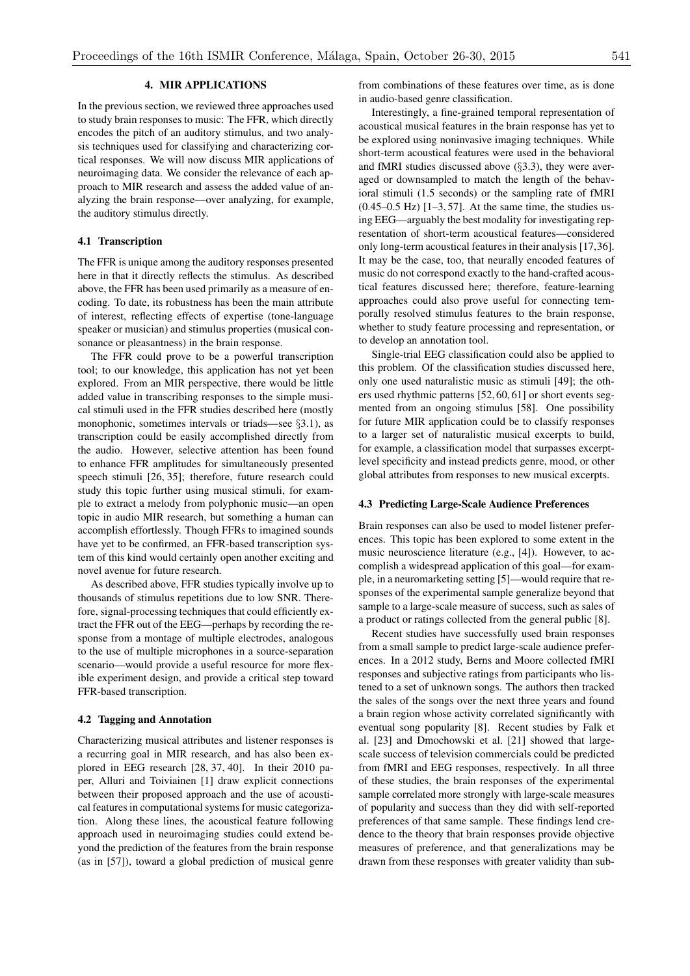## 4. MIR APPLICATIONS

In the previous section, we reviewed three approaches used to study brain responses to music: The FFR, which directly encodes the pitch of an auditory stimulus, and two analysis techniques used for classifying and characterizing cortical responses. We will now discuss MIR applications of neuroimaging data. We consider the relevance of each approach to MIR research and assess the added value of analyzing the brain response—over analyzing, for example, the auditory stimulus directly.

## 4.1 Transcription

The FFR is unique among the auditory responses presented here in that it directly reflects the stimulus. As described above, the FFR has been used primarily as a measure of encoding. To date, its robustness has been the main attribute of interest, reflecting effects of expertise (tone-language speaker or musician) and stimulus properties (musical consonance or pleasantness) in the brain response.

The FFR could prove to be a powerful transcription tool; to our knowledge, this application has not yet been explored. From an MIR perspective, there would be little added value in transcribing responses to the simple musical stimuli used in the FFR studies described here (mostly monophonic, sometimes intervals or triads—see *§*3.1), as transcription could be easily accomplished directly from the audio. However, selective attention has been found to enhance FFR amplitudes for simultaneously presented speech stimuli [26, 35]; therefore, future research could study this topic further using musical stimuli, for example to extract a melody from polyphonic music—an open topic in audio MIR research, but something a human can accomplish effortlessly. Though FFRs to imagined sounds have yet to be confirmed, an FFR-based transcription system of this kind would certainly open another exciting and novel avenue for future research.

As described above, FFR studies typically involve up to thousands of stimulus repetitions due to low SNR. Therefore, signal-processing techniques that could efficiently extract the FFR out of the EEG—perhaps by recording the response from a montage of multiple electrodes, analogous to the use of multiple microphones in a source-separation scenario—would provide a useful resource for more flexible experiment design, and provide a critical step toward FFR-based transcription.

#### 4.2 Tagging and Annotation

Characterizing musical attributes and listener responses is a recurring goal in MIR research, and has also been explored in EEG research [28, 37, 40]. In their 2010 paper, Alluri and Toiviainen [1] draw explicit connections between their proposed approach and the use of acoustical features in computational systems for music categorization. Along these lines, the acoustical feature following approach used in neuroimaging studies could extend beyond the prediction of the features from the brain response (as in [57]), toward a global prediction of musical genre from combinations of these features over time, as is done in audio-based genre classification.

Interestingly, a fine-grained temporal representation of acoustical musical features in the brain response has yet to be explored using noninvasive imaging techniques. While short-term acoustical features were used in the behavioral and fMRI studies discussed above (*§*3.3), they were averaged or downsampled to match the length of the behavioral stimuli (1.5 seconds) or the sampling rate of fMRI  $(0.45-0.5 \text{ Hz})$  [1-3, 57]. At the same time, the studies using EEG—arguably the best modality for investigating representation of short-term acoustical features—considered only long-term acoustical features in their analysis [17,36]. It may be the case, too, that neurally encoded features of music do not correspond exactly to the hand-crafted acoustical features discussed here; therefore, feature-learning approaches could also prove useful for connecting temporally resolved stimulus features to the brain response, whether to study feature processing and representation, or to develop an annotation tool.

Single-trial EEG classification could also be applied to this problem. Of the classification studies discussed here, only one used naturalistic music as stimuli [49]; the others used rhythmic patterns [52, 60, 61] or short events segmented from an ongoing stimulus [58]. One possibility for future MIR application could be to classify responses to a larger set of naturalistic musical excerpts to build, for example, a classification model that surpasses excerptlevel specificity and instead predicts genre, mood, or other global attributes from responses to new musical excerpts.

#### 4.3 Predicting Large-Scale Audience Preferences

Brain responses can also be used to model listener preferences. This topic has been explored to some extent in the music neuroscience literature (e.g., [4]). However, to accomplish a widespread application of this goal—for example, in a neuromarketing setting [5]—would require that responses of the experimental sample generalize beyond that sample to a large-scale measure of success, such as sales of a product or ratings collected from the general public [8].

Recent studies have successfully used brain responses from a small sample to predict large-scale audience preferences. In a 2012 study, Berns and Moore collected fMRI responses and subjective ratings from participants who listened to a set of unknown songs. The authors then tracked the sales of the songs over the next three years and found a brain region whose activity correlated significantly with eventual song popularity [8]. Recent studies by Falk et al. [23] and Dmochowski et al. [21] showed that largescale success of television commercials could be predicted from fMRI and EEG responses, respectively. In all three of these studies, the brain responses of the experimental sample correlated more strongly with large-scale measures of popularity and success than they did with self-reported preferences of that same sample. These findings lend credence to the theory that brain responses provide objective measures of preference, and that generalizations may be drawn from these responses with greater validity than sub-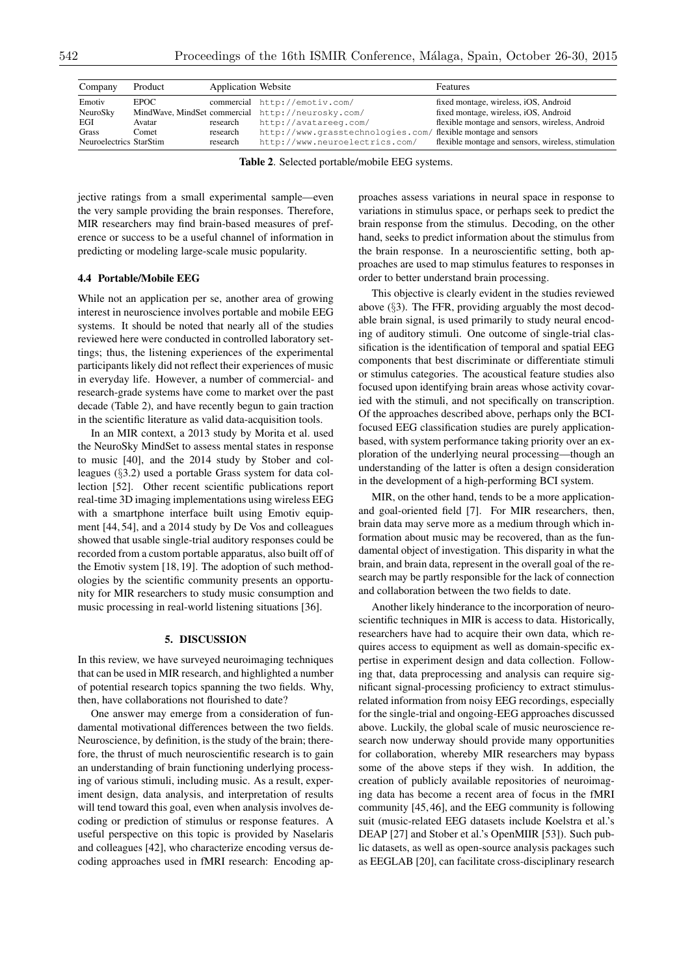| Company                 | Product | <b>Application Website</b> |                                                                | <b>Features</b>                                     |
|-------------------------|---------|----------------------------|----------------------------------------------------------------|-----------------------------------------------------|
| Emotiv                  | EPOC    |                            | commercial http://emotiv.com/                                  | fixed montage, wireless, iOS, Android               |
| NeuroSky                |         |                            | MindWave, MindSet commercial http://neurosky.com/              | fixed montage, wireless, iOS, Android               |
| EGI                     | Avatar  | research                   | http://avatareeg.com/                                          | flexible montage and sensors, wireless, Android     |
| Grass                   | Comet   | research                   | http://www.grasstechnologies.com/ flexible montage and sensors |                                                     |
| Neuroelectrics StarStim |         | research                   | http://www.neuroelectrics.com/                                 | flexible montage and sensors, wireless, stimulation |

Table 2. Selected portable/mobile EEG systems.

jective ratings from a small experimental sample—even the very sample providing the brain responses. Therefore, MIR researchers may find brain-based measures of preference or success to be a useful channel of information in predicting or modeling large-scale music popularity.

## 4.4 Portable/Mobile EEG

While not an application per se, another area of growing interest in neuroscience involves portable and mobile EEG systems. It should be noted that nearly all of the studies reviewed here were conducted in controlled laboratory settings; thus, the listening experiences of the experimental participants likely did not reflect their experiences of music in everyday life. However, a number of commercial- and research-grade systems have come to market over the past decade (Table 2), and have recently begun to gain traction in the scientific literature as valid data-acquisition tools.

In an MIR context, a 2013 study by Morita et al. used the NeuroSky MindSet to assess mental states in response to music [40], and the 2014 study by Stober and colleagues (*§*3.2) used a portable Grass system for data collection [52]. Other recent scientific publications report real-time 3D imaging implementations using wireless EEG with a smartphone interface built using Emotiv equipment [44, 54], and a 2014 study by De Vos and colleagues showed that usable single-trial auditory responses could be recorded from a custom portable apparatus, also built off of the Emotiv system [18, 19]. The adoption of such methodologies by the scientific community presents an opportunity for MIR researchers to study music consumption and music processing in real-world listening situations [36].

## 5. DISCUSSION

In this review, we have surveyed neuroimaging techniques that can be used in MIR research, and highlighted a number of potential research topics spanning the two fields. Why, then, have collaborations not flourished to date?

One answer may emerge from a consideration of fundamental motivational differences between the two fields. Neuroscience, by definition, is the study of the brain; therefore, the thrust of much neuroscientific research is to gain an understanding of brain functioning underlying processing of various stimuli, including music. As a result, experiment design, data analysis, and interpretation of results will tend toward this goal, even when analysis involves decoding or prediction of stimulus or response features. A useful perspective on this topic is provided by Naselaris and colleagues [42], who characterize encoding versus decoding approaches used in fMRI research: Encoding approaches assess variations in neural space in response to variations in stimulus space, or perhaps seek to predict the brain response from the stimulus. Decoding, on the other hand, seeks to predict information about the stimulus from the brain response. In a neuroscientific setting, both approaches are used to map stimulus features to responses in order to better understand brain processing.

This objective is clearly evident in the studies reviewed above (*§*3). The FFR, providing arguably the most decodable brain signal, is used primarily to study neural encoding of auditory stimuli. One outcome of single-trial classification is the identification of temporal and spatial EEG components that best discriminate or differentiate stimuli or stimulus categories. The acoustical feature studies also focused upon identifying brain areas whose activity covaried with the stimuli, and not specifically on transcription. Of the approaches described above, perhaps only the BCIfocused EEG classification studies are purely applicationbased, with system performance taking priority over an exploration of the underlying neural processing—though an understanding of the latter is often a design consideration in the development of a high-performing BCI system.

MIR, on the other hand, tends to be a more applicationand goal-oriented field [7]. For MIR researchers, then, brain data may serve more as a medium through which information about music may be recovered, than as the fundamental object of investigation. This disparity in what the brain, and brain data, represent in the overall goal of the research may be partly responsible for the lack of connection and collaboration between the two fields to date.

Another likely hinderance to the incorporation of neuroscientific techniques in MIR is access to data. Historically, researchers have had to acquire their own data, which requires access to equipment as well as domain-specific expertise in experiment design and data collection. Following that, data preprocessing and analysis can require significant signal-processing proficiency to extract stimulusrelated information from noisy EEG recordings, especially for the single-trial and ongoing-EEG approaches discussed above. Luckily, the global scale of music neuroscience research now underway should provide many opportunities for collaboration, whereby MIR researchers may bypass some of the above steps if they wish. In addition, the creation of publicly available repositories of neuroimaging data has become a recent area of focus in the fMRI community [45, 46], and the EEG community is following suit (music-related EEG datasets include Koelstra et al.'s DEAP [27] and Stober et al.'s OpenMIIR [53]). Such public datasets, as well as open-source analysis packages such as EEGLAB [20], can facilitate cross-disciplinary research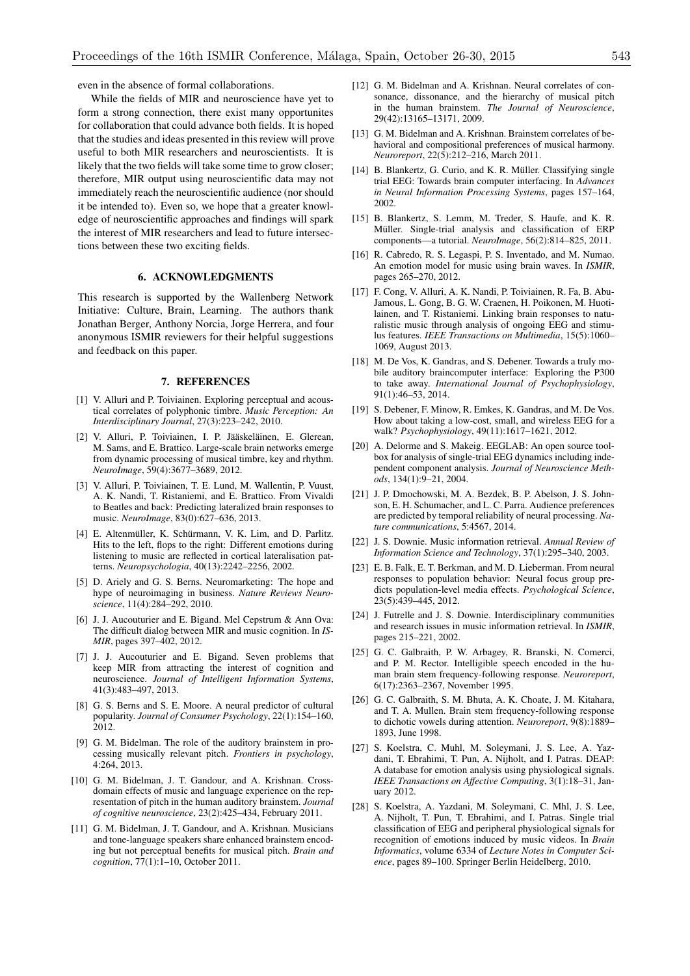even in the absence of formal collaborations.

While the fields of MIR and neuroscience have yet to form a strong connection, there exist many opportunites for collaboration that could advance both fields. It is hoped that the studies and ideas presented in this review will prove useful to both MIR researchers and neuroscientists. It is likely that the two fields will take some time to grow closer; therefore, MIR output using neuroscientific data may not immediately reach the neuroscientific audience (nor should it be intended to). Even so, we hope that a greater knowledge of neuroscientific approaches and findings will spark the interest of MIR researchers and lead to future intersections between these two exciting fields.

# 6. ACKNOWLEDGMENTS

This research is supported by the Wallenberg Network Initiative: Culture, Brain, Learning. The authors thank Jonathan Berger, Anthony Norcia, Jorge Herrera, and four anonymous ISMIR reviewers for their helpful suggestions and feedback on this paper.

#### 7. REFERENCES

- [1] V. Alluri and P. Toiviainen. Exploring perceptual and acoustical correlates of polyphonic timbre. *Music Perception: An Interdisciplinary Journal*, 27(3):223–242, 2010.
- [2] V. Alluri, P. Toiviainen, I. P. Jääskeläinen, E. Glerean, M. Sams, and E. Brattico. Large-scale brain networks emerge from dynamic processing of musical timbre, key and rhythm. *NeuroImage*, 59(4):3677–3689, 2012.
- [3] V. Alluri, P. Toiviainen, T. E. Lund, M. Wallentin, P. Vuust, A. K. Nandi, T. Ristaniemi, and E. Brattico. From Vivaldi to Beatles and back: Predicting lateralized brain responses to music. *NeuroImage*, 83(0):627–636, 2013.
- [4] E. Altenmüller, K. Schürmann, V. K. Lim, and D. Parlitz. Hits to the left, flops to the right: Different emotions during listening to music are reflected in cortical lateralisation patterns. *Neuropsychologia*, 40(13):2242–2256, 2002.
- [5] D. Ariely and G. S. Berns. Neuromarketing: The hope and hype of neuroimaging in business. *Nature Reviews Neuroscience*, 11(4):284–292, 2010.
- [6] J. J. Aucouturier and E. Bigand. Mel Cepstrum & Ann Ova: The difficult dialog between MIR and music cognition. In *IS-MIR*, pages 397–402, 2012.
- [7] J. J. Aucouturier and E. Bigand. Seven problems that keep MIR from attracting the interest of cognition and neuroscience. *Journal of Intelligent Information Systems*, 41(3):483–497, 2013.
- [8] G. S. Berns and S. E. Moore. A neural predictor of cultural popularity. *Journal of Consumer Psychology*, 22(1):154–160, 2012.
- [9] G. M. Bidelman. The role of the auditory brainstem in processing musically relevant pitch. *Frontiers in psychology*, 4:264, 2013.
- [10] G. M. Bidelman, J. T. Gandour, and A. Krishnan. Crossdomain effects of music and language experience on the representation of pitch in the human auditory brainstem. *Journal of cognitive neuroscience*, 23(2):425–434, February 2011.
- [11] G. M. Bidelman, J. T. Gandour, and A. Krishnan. Musicians and tone-language speakers share enhanced brainstem encoding but not perceptual benefits for musical pitch. *Brain and cognition*, 77(1):1–10, October 2011.
- [12] G. M. Bidelman and A. Krishnan. Neural correlates of consonance, dissonance, and the hierarchy of musical pitch in the human brainstem. *The Journal of Neuroscience*, 29(42):13165–13171, 2009.
- [13] G. M. Bidelman and A. Krishnan. Brainstem correlates of behavioral and compositional preferences of musical harmony. *Neuroreport*, 22(5):212–216, March 2011.
- [14] B. Blankertz, G. Curio, and K. R. Müller. Classifying single trial EEG: Towards brain computer interfacing. In *Advances in Neural Information Processing Systems*, pages 157–164, 2002.
- [15] B. Blankertz, S. Lemm, M. Treder, S. Haufe, and K. R. Müller. Single-trial analysis and classification of ERP components—a tutorial. *NeuroImage*, 56(2):814–825, 2011.
- [16] R. Cabredo, R. S. Legaspi, P. S. Inventado, and M. Numao. An emotion model for music using brain waves. In *ISMIR*, pages 265–270, 2012.
- [17] F. Cong, V. Alluri, A. K. Nandi, P. Toiviainen, R. Fa, B. Abu-Jamous, L. Gong, B. G. W. Craenen, H. Poikonen, M. Huotilainen, and T. Ristaniemi. Linking brain responses to naturalistic music through analysis of ongoing EEG and stimulus features. *IEEE Transactions on Multimedia*, 15(5):1060– 1069, August 2013.
- [18] M. De Vos, K. Gandras, and S. Debener. Towards a truly mobile auditory braincomputer interface: Exploring the P300 to take away. *International Journal of Psychophysiology*, 91(1):46–53, 2014.
- [19] S. Debener, F. Minow, R. Emkes, K. Gandras, and M. De Vos. How about taking a low-cost, small, and wireless EEG for a walk? *Psychophysiology*, 49(11):1617–1621, 2012.
- [20] A. Delorme and S. Makeig. EEGLAB: An open source toolbox for analysis of single-trial EEG dynamics including independent component analysis. *Journal of Neuroscience Methods*, 134(1):9–21, 2004.
- [21] J. P. Dmochowski, M. A. Bezdek, B. P. Abelson, J. S. Johnson, E. H. Schumacher, and L. C. Parra. Audience preferences are predicted by temporal reliability of neural processing. *Nature communications*, 5:4567, 2014.
- [22] J. S. Downie. Music information retrieval. *Annual Review of Information Science and Technology*, 37(1):295–340, 2003.
- [23] E. B. Falk, E. T. Berkman, and M. D. Lieberman. From neural responses to population behavior: Neural focus group predicts population-level media effects. *Psychological Science*, 23(5):439–445, 2012.
- [24] J. Futrelle and J. S. Downie. Interdisciplinary communities and research issues in music information retrieval. In *ISMIR*, pages 215–221, 2002.
- [25] G. C. Galbraith, P. W. Arbagey, R. Branski, N. Comerci, and P. M. Rector. Intelligible speech encoded in the human brain stem frequency-following response. *Neuroreport*, 6(17):2363–2367, November 1995.
- [26] G. C. Galbraith, S. M. Bhuta, A. K. Choate, J. M. Kitahara, and T. A. Mullen. Brain stem frequency-following response to dichotic vowels during attention. *Neuroreport*, 9(8):1889– 1893, June 1998.
- [27] S. Koelstra, C. Muhl, M. Soleymani, J. S. Lee, A. Yazdani, T. Ebrahimi, T. Pun, A. Nijholt, and I. Patras. DEAP: A database for emotion analysis using physiological signals. *IEEE Transactions on Affective Computing*, 3(1):18–31, January 2012.
- [28] S. Koelstra, A. Yazdani, M. Soleymani, C. Mhl, J. S. Lee, A. Nijholt, T. Pun, T. Ebrahimi, and I. Patras. Single trial classification of EEG and peripheral physiological signals for recognition of emotions induced by music videos. In *Brain Informatics*, volume 6334 of *Lecture Notes in Computer Science*, pages 89–100. Springer Berlin Heidelberg, 2010.